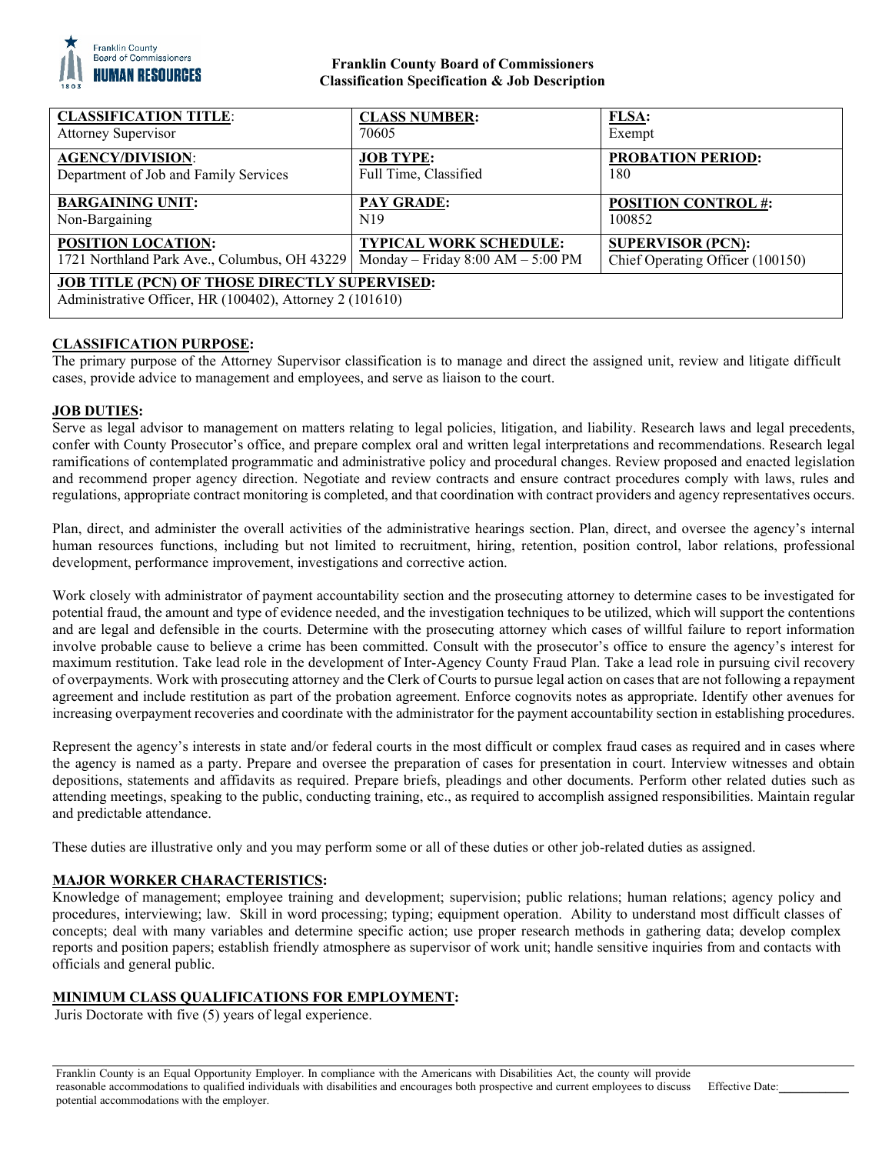

# **Franklin County Board of Commissioners Classification Specification & Job Description**

| <b>CLASSIFICATION TITLE:</b>                                                                                     | <b>CLASS NUMBER:</b>                | FLSA:                            |
|------------------------------------------------------------------------------------------------------------------|-------------------------------------|----------------------------------|
| <b>Attorney Supervisor</b>                                                                                       | 70605                               | Exempt                           |
| <b>AGENCY/DIVISION:</b>                                                                                          | <b>JOB TYPE:</b>                    | <b>PROBATION PERIOD:</b>         |
| Department of Job and Family Services                                                                            | Full Time, Classified               | 180                              |
| <b>BARGAINING UNIT:</b>                                                                                          | <b>PAY GRADE:</b>                   | <b>POSITION CONTROL #:</b>       |
| Non-Bargaining                                                                                                   | N <sub>19</sub>                     | 100852                           |
| <b>POSITION LOCATION:</b>                                                                                        | <b>TYPICAL WORK SCHEDULE:</b>       | <b>SUPERVISOR (PCN):</b>         |
| 1721 Northland Park Ave., Columbus, OH 43229                                                                     | Monday – Friday $8:00 AM - 5:00 PM$ | Chief Operating Officer (100150) |
| <b>JOB TITLE (PCN) OF THOSE DIRECTLY SUPERVISED:</b><br>Administrative Officer, HR (100402), Attorney 2 (101610) |                                     |                                  |

# **CLASSIFICATION PURPOSE:**

The primary purpose of the Attorney Supervisor classification is to manage and direct the assigned unit, review and litigate difficult cases, provide advice to management and employees, and serve as liaison to the court.

# **JOB DUTIES:**

Serve as legal advisor to management on matters relating to legal policies, litigation, and liability. Research laws and legal precedents, confer with County Prosecutor's office, and prepare complex oral and written legal interpretations and recommendations. Research legal ramifications of contemplated programmatic and administrative policy and procedural changes. Review proposed and enacted legislation and recommend proper agency direction. Negotiate and review contracts and ensure contract procedures comply with laws, rules and regulations, appropriate contract monitoring is completed, and that coordination with contract providers and agency representatives occurs.

Plan, direct, and administer the overall activities of the administrative hearings section. Plan, direct, and oversee the agency's internal human resources functions, including but not limited to recruitment, hiring, retention, position control, labor relations, professional development, performance improvement, investigations and corrective action.

Work closely with administrator of payment accountability section and the prosecuting attorney to determine cases to be investigated for potential fraud, the amount and type of evidence needed, and the investigation techniques to be utilized, which will support the contentions and are legal and defensible in the courts. Determine with the prosecuting attorney which cases of willful failure to report information involve probable cause to believe a crime has been committed. Consult with the prosecutor's office to ensure the agency's interest for maximum restitution. Take lead role in the development of Inter-Agency County Fraud Plan. Take a lead role in pursuing civil recovery of overpayments. Work with prosecuting attorney and the Clerk of Courts to pursue legal action on cases that are not following a repayment agreement and include restitution as part of the probation agreement. Enforce cognovits notes as appropriate. Identify other avenues for increasing overpayment recoveries and coordinate with the administrator for the payment accountability section in establishing procedures.

Represent the agency's interests in state and/or federal courts in the most difficult or complex fraud cases as required and in cases where the agency is named as a party. Prepare and oversee the preparation of cases for presentation in court. Interview witnesses and obtain depositions, statements and affidavits as required. Prepare briefs, pleadings and other documents. Perform other related duties such as attending meetings, speaking to the public, conducting training, etc., as required to accomplish assigned responsibilities. Maintain regular and predictable attendance.

These duties are illustrative only and you may perform some or all of these duties or other job-related duties as assigned.

## **MAJOR WORKER CHARACTERISTICS:**

Knowledge of management; employee training and development; supervision; public relations; human relations; agency policy and procedures, interviewing; law. Skill in word processing; typing; equipment operation. Ability to understand most difficult classes of concepts; deal with many variables and determine specific action; use proper research methods in gathering data; develop complex reports and position papers; establish friendly atmosphere as supervisor of work unit; handle sensitive inquiries from and contacts with officials and general public.

## **MINIMUM CLASS QUALIFICATIONS FOR EMPLOYMENT:**

Juris Doctorate with five (5) years of legal experience.